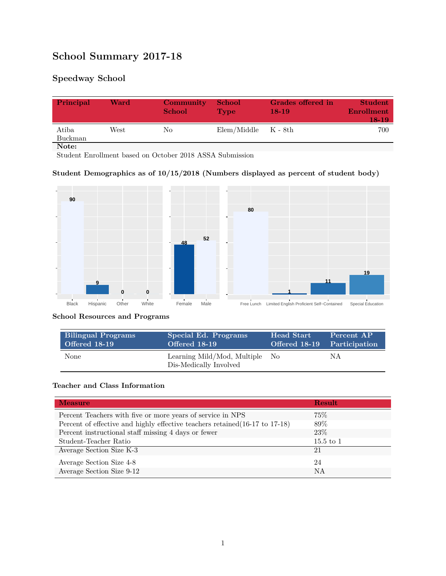# **School Summary 2017-18**

## **Speedway School**

| Principal        | Ward | Community<br><b>School</b> | <b>School</b><br><b>Type</b> | Grades offered in<br>$18-19$ | <b>Student</b><br>Enrollment<br>18-19 |
|------------------|------|----------------------------|------------------------------|------------------------------|---------------------------------------|
| Atiba<br>Buckman | West | No                         | $Elem/Middle$ $K - 8th$      |                              | 700                                   |
| Note:            |      |                            |                              |                              |                                       |

Student Enrollment based on October 2018 ASSA Submission

#### **Student Demographics as of 10/15/2018 (Numbers displayed as percent of student body)**



#### **School Resources and Programs**

| <b>Bilingual Programs</b> | Special Ed. Programs                                     | <b>Head Start</b>           | Percent AP |
|---------------------------|----------------------------------------------------------|-----------------------------|------------|
| Offered 18-19             | Offered 18-19                                            | Offered 18-19 Participation |            |
| None                      | Learning Mild/Mod, Multiple No<br>Dis-Medically Involved |                             | NА         |

#### **Teacher and Class Information**

| <b>Measure</b>                                                               | <b>Result</b> |
|------------------------------------------------------------------------------|---------------|
| Percent Teachers with five or more years of service in NPS                   | 75%           |
| Percent of effective and highly effective teachers retained (16-17 to 17-18) | 89%           |
| Percent instructional staff missing 4 days or fewer                          | 23\%          |
| Student-Teacher Ratio                                                        | $15.5$ to $1$ |
| Average Section Size K-3                                                     | 21            |
| Average Section Size 4-8                                                     | 24            |
| Average Section Size 9-12                                                    | NA            |